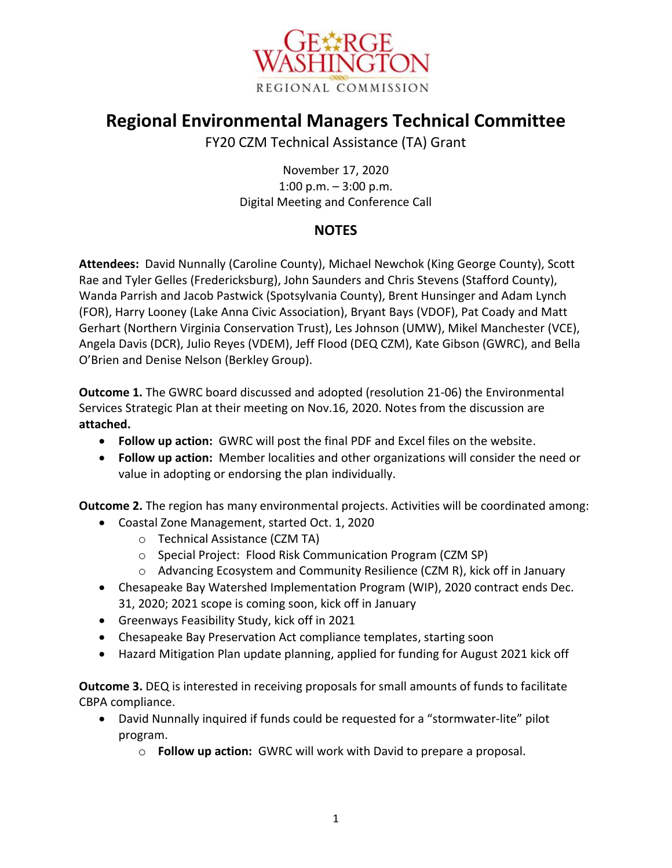

## **Regional Environmental Managers Technical Committee**

FY20 CZM Technical Assistance (TA) Grant

November 17, 2020 1:00 p.m.  $-3:00$  p.m. Digital Meeting and Conference Call

## **NOTES**

**Attendees:** David Nunnally (Caroline County), Michael Newchok (King George County), Scott Rae and Tyler Gelles (Fredericksburg), John Saunders and Chris Stevens (Stafford County), Wanda Parrish and Jacob Pastwick (Spotsylvania County), Brent Hunsinger and Adam Lynch (FOR), Harry Looney (Lake Anna Civic Association), Bryant Bays (VDOF), Pat Coady and Matt Gerhart (Northern Virginia Conservation Trust), Les Johnson (UMW), Mikel Manchester (VCE), Angela Davis (DCR), Julio Reyes (VDEM), Jeff Flood (DEQ CZM), Kate Gibson (GWRC), and Bella O'Brien and Denise Nelson (Berkley Group).

**Outcome 1.** The GWRC board discussed and adopted (resolution 21-06) the Environmental Services Strategic Plan at their meeting on Nov.16, 2020. Notes from the discussion are **attached.**

- **Follow up action:** GWRC will post the final PDF and Excel files on the website.
- **Follow up action:** Member localities and other organizations will consider the need or value in adopting or endorsing the plan individually.

**Outcome 2.** The region has many environmental projects. Activities will be coordinated among:

- Coastal Zone Management, started Oct. 1, 2020
	- o Technical Assistance (CZM TA)
	- o Special Project: Flood Risk Communication Program (CZM SP)
	- o Advancing Ecosystem and Community Resilience (CZM R), kick off in January
- Chesapeake Bay Watershed Implementation Program (WIP), 2020 contract ends Dec. 31, 2020; 2021 scope is coming soon, kick off in January
- Greenways Feasibility Study, kick off in 2021
- Chesapeake Bay Preservation Act compliance templates, starting soon
- Hazard Mitigation Plan update planning, applied for funding for August 2021 kick off

**Outcome 3.** DEQ is interested in receiving proposals for small amounts of funds to facilitate CBPA compliance.

- David Nunnally inquired if funds could be requested for a "stormwater-lite" pilot program.
	- o **Follow up action:** GWRC will work with David to prepare a proposal.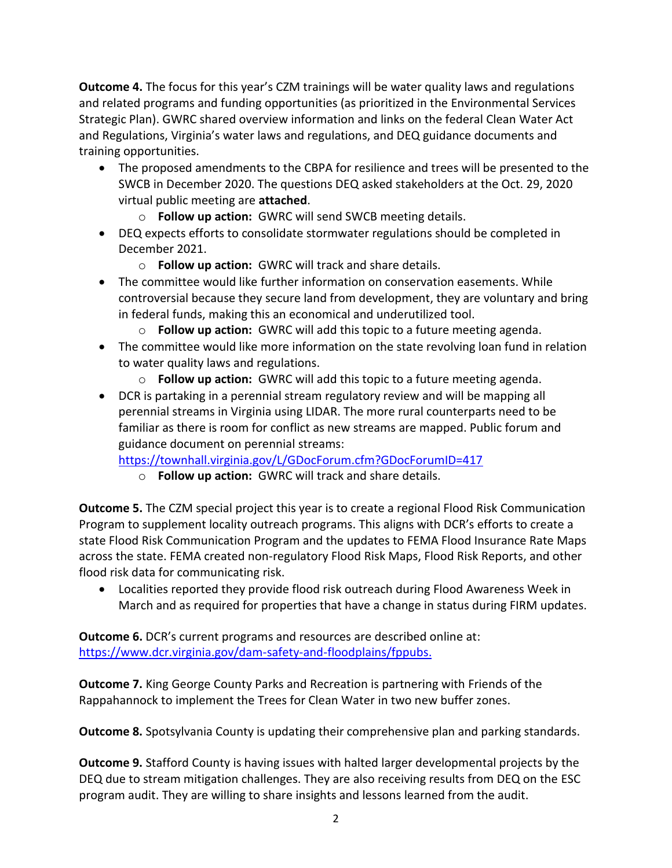**Outcome 4.** The focus for this year's CZM trainings will be water quality laws and regulations and related programs and funding opportunities (as prioritized in the Environmental Services Strategic Plan). GWRC shared overview information and links on the federal Clean Water Act and Regulations, Virginia's water laws and regulations, and DEQ guidance documents and training opportunities.

- The proposed amendments to the CBPA for resilience and trees will be presented to the SWCB in December 2020. The questions DEQ asked stakeholders at the Oct. 29, 2020 virtual public meeting are **attached**.
	- o **Follow up action:** GWRC will send SWCB meeting details.
- DEQ expects efforts to consolidate stormwater regulations should be completed in December 2021.
	- o **Follow up action:** GWRC will track and share details.
- The committee would like further information on conservation easements. While controversial because they secure land from development, they are voluntary and bring in federal funds, making this an economical and underutilized tool.
	- o **Follow up action:** GWRC will add this topic to a future meeting agenda.
- The committee would like more information on the state revolving loan fund in relation to water quality laws and regulations.
	- o **Follow up action:** GWRC will add this topic to a future meeting agenda.
- DCR is partaking in a perennial stream regulatory review and will be mapping all perennial streams in Virginia using LIDAR. The more rural counterparts need to be familiar as there is room for conflict as new streams are mapped. Public forum and guidance document on perennial streams:

<https://townhall.virginia.gov/L/GDocForum.cfm?GDocForumID=417>

o **Follow up action:** GWRC will track and share details.

**Outcome 5.** The CZM special project this year is to create a regional Flood Risk Communication Program to supplement locality outreach programs. This aligns with DCR's efforts to create a state Flood Risk Communication Program and the updates to FEMA Flood Insurance Rate Maps across the state. FEMA created non-regulatory Flood Risk Maps, Flood Risk Reports, and other flood risk data for communicating risk.

 Localities reported they provide flood risk outreach during Flood Awareness Week in March and as required for properties that have a change in status during FIRM updates.

**Outcome 6.** DCR's current programs and resources are described online at: [https://www.dcr.virginia.gov/dam-safety-and-floodplains/fppubs.](https://www.dcr.virginia.gov/dam-safety-and-floodplains/fppubs)

**Outcome 7.** King George County Parks and Recreation is partnering with Friends of the Rappahannock to implement the Trees for Clean Water in two new buffer zones.

**Outcome 8.** Spotsylvania County is updating their comprehensive plan and parking standards.

**Outcome 9.** Stafford County is having issues with halted larger developmental projects by the DEQ due to stream mitigation challenges. They are also receiving results from DEQ on the ESC program audit. They are willing to share insights and lessons learned from the audit.